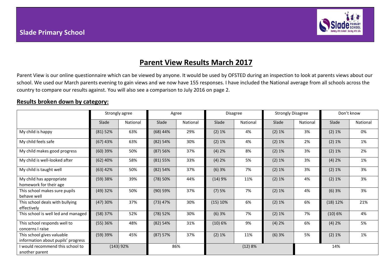

## **Parent View Results March 2017**

Parent View is our online questionnaire which can be viewed by anyone. It would be used by OFSTED during an inspection to look at parents views about our school. We used our March parents evening to gain views and we now have 155 responses. I have included the National average from all schools across the country to compare our results against. You will also see a comparison to July 2016 on page 2.

## **Results broken down by category:**

|                                                                  | Strongly agree |          | Agree      |          | Disagree |          | <b>Strongly Disagree</b> |          | Don't know |          |
|------------------------------------------------------------------|----------------|----------|------------|----------|----------|----------|--------------------------|----------|------------|----------|
|                                                                  | Slade          | National | Slade      | National | Slade    | National | Slade                    | National | Slade      | National |
| My child is happy                                                | $(81)$ 52%     | 63%      | $(68)$ 44% | 29%      | (2) 1%   | 4%       | (2) 1%                   | 3%       | (2) 1%     | 0%       |
| My child feels safe                                              | $(67)$ 43%     | 63%      | (82) 54%   | 30%      | (2) 1%   | 4%       | (2) 1%                   | 2%       | (2) 1%     | 1%       |
| My child makes good progress                                     | $(60)$ 39%     | 50%      | (87) 56%   | 37%      | (4) 2%   | 8%       | (2) 1%                   | 3%       | (2) 1%     | 2%       |
| My child is well-looked after                                    | $(62)$ 40%     | 58%      | (81) 55%   | 33%      | (4) 2%   | 5%       | (2) 1%                   | 3%       | (4) 2%     | 1%       |
| My child is taught well                                          | $(63)$ 42%     | 50%      | (82) 54%   | 37%      | (6)3%    | 7%       | (2) 1%                   | 3%       | (2) 1%     | 3%       |
| My child has appropriate<br>homework for their age               | (59) 38%       | 39%      | (78) 50%   | 44%      | (14)9%   | 11%      | (2) 1%                   | 4%       | (2) 1%     | 3%       |
| This school makes sure pupils<br>behave well                     | (49) 32%       | 50%      | (90) 59%   | 37%      | (7)5%    | 7%       | (2) 1%                   | 4%       | (6)3%      | 3%       |
| This school deals with bullying<br>effectively                   | $(47)$ 30%     | 37%      | $(73)$ 47% | 30%      | (15) 10% | 6%       | (2) 1%                   | 6%       | (18) 12%   | 21%      |
| This school is well led and managed                              | $(58)$ 37%     | 52%      | (78) 52%   | 30%      | (6)3%    | 7%       | (2) 1%                   | 7%       | (10) 6%    | 4%       |
| This school responds well to<br>concerns I raise                 | $(55)$ 36%     | 48%      | $(82)$ 54% | 31%      | (10) 6%  | 9%       | (4) 2%                   | 6%       | (4) 2%     | 5%       |
| This school gives valuable<br>information about pupils' progress | (59) 39%       | 45%      | (87) 57%   | 37%      | (2) 1%   | 11%      | (6)3%                    | 5%       | (2) 1%     | 1%       |
| would recommend this school to<br>another parent                 | (143)92%       |          | 86%        |          |          | (12) 8%  |                          | 14%      |            |          |